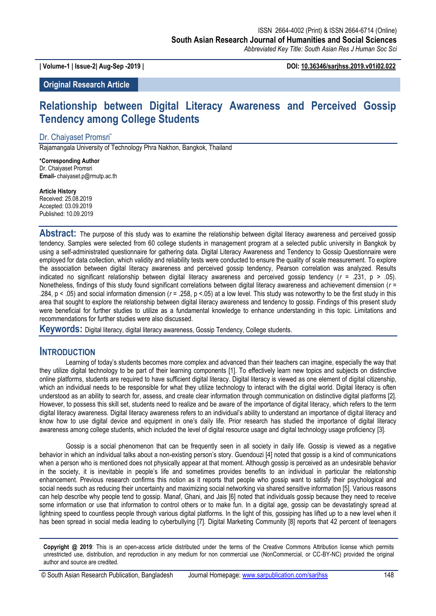**| Volume-1 | Issue-2| Aug-Sep -2019 | DOI: 10.36346/sarjhss.2019.v01i02.022**

**Original Research Article**

# **Relationship between Digital Literacy Awareness and Perceived Gossip Tendency among College Students**

#### Dr. Chaiyaset Promsri\*

Rajamangala University of Technology Phra Nakhon, Bangkok, Thailand

**\*Corresponding Author** Dr. Chaiyaset Promsri **Email-** chaiyaset.p@rmutp.ac.th

**Article History** Received: 25.08.2019 Accepted: 03.09.2019 Published: 10.09.2019

**Abstract:** The purpose of this study was to examine the relationship between digital literacy awareness and perceived gossip tendency. Samples were selected from 60 college students in management program at a selected public university in Bangkok by using a self-administrated questionnaire for gathering data. Digital Literacy Awareness and Tendency to Gossip Questionnaire were employed for data collection, which validity and reliability tests were conducted to ensure the quality of scale measurement. To explore the association between digital literacy awareness and perceived gossip tendency, Pearson correlation was analyzed. Results indicated no significant relationship between digital literacy awareness and perceived gossip tendency (*r* = .231, p > .05). Nonetheless, findings of this study found significant correlations between digital literacy awareness and achievement dimension ( $r =$ .284, p < .05) and social information dimension (*r* = .258, p <.05) at a low level. This study was noteworthy to be the first study in this area that sought to explore the relationship between digital literacy awareness and tendency to gossip. Findings of this present study were beneficial for further studies to utilize as a fundamental knowledge to enhance understanding in this topic. Limitations and recommendations for further studies were also discussed.

**Keywords:** Digital literacy, digital literacy awareness, Gossip Tendency, College students.

#### **INTRODUCTION**

Learning of today"s students becomes more complex and advanced than their teachers can imagine, especially the way that they utilize digital technology to be part of their learning components [1]. To effectively learn new topics and subjects on distinctive online platforms, students are required to have sufficient digital literacy. Digital literacy is viewed as one element of digital citizenship, which an individual needs to be responsible for what they utilize technology to interact with the digital world. Digital literacy is often understood as an ability to search for, assess, and create clear information through communication on distinctive digital platforms [2]. However, to possess this skill set, students need to realize and be aware of the importance of digital literacy, which refers to the term digital literacy awareness. Digital literacy awareness refers to an individual"s ability to understand an importance of digital literacy and know how to use digital device and equipment in one"s daily life. Prior research has studied the importance of digital literacy awareness among college students, which included the level of digital resource usage and digital technology usage proficiency [3].

Gossip is a social phenomenon that can be frequently seen in all society in daily life. Gossip is viewed as a negative behavior in which an individual talks about a non-existing person"s story. Guendouzi [4] noted that gossip is a kind of communications when a person who is mentioned does not physically appear at that moment. Although gossip is perceived as an undesirable behavior in the society, it is inevitable in people"s life and sometimes provides benefits to an individual in particular the relationship enhancement. Previous research confirms this notion as it reports that people who gossip want to satisfy their psychological and social needs such as reducing their uncertainty and maximizing social networking via shared sensitive information [5]. Various reasons can help describe why people tend to gossip. Manaf, Ghani, and Jais [6] noted that individuals gossip because they need to receive some information or use that information to control others or to make fun. In a digital age, gossip can be devastatingly spread at lightning speed to countless people through various digital platforms. In the light of this, gossiping has lifted up to a new level when it has been spread in social media leading to cyberbullying [7]. Digital Marketing Community [8] reports that 42 percent of teenagers

**Copyright @ 2019**: This is an open-access article distributed under the terms of the Creative Commons Attribution license which permits unrestricted use, distribution, and reproduction in any medium for non commercial use (NonCommercial, or CC-BY-NC) provided the original author and source are credited.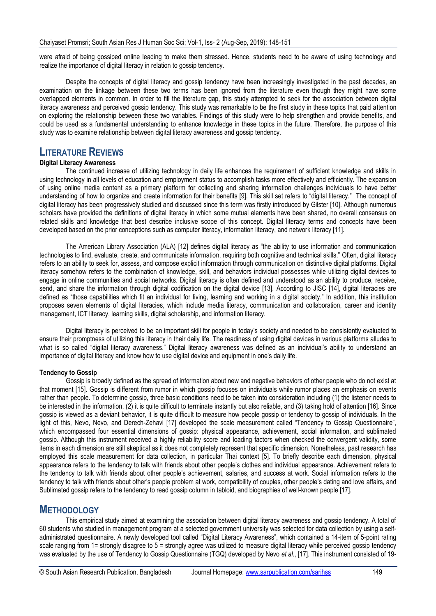were afraid of being gossiped online leading to make them stressed. Hence, students need to be aware of using technology and realize the importance of digital literacy in relation to gossip tendency.

Despite the concepts of digital literacy and gossip tendency have been increasingly investigated in the past decades, an examination on the linkage between these two terms has been ignored from the literature even though they might have some overlapped elements in common. In order to fill the literature gap, this study attempted to seek for the association between digital literacy awareness and perceived gossip tendency. This study was remarkable to be the first study in these topics that paid attention on exploring the relationship between these two variables. Findings of this study were to help strengthen and provide benefits, and could be used as a fundamental understanding to enhance knowledge in these topics in the future. Therefore, the purpose of this study was to examine relationship between digital literacy awareness and gossip tendency.

### **LITERATURE REVIEWS**

#### **Digital Literacy Awareness**

The continued increase of utilizing technology in daily life enhances the requirement of sufficient knowledge and skills in using technology in all levels of education and employment status to accomplish tasks more effectively and efficiently. The expansion of using online media content as a primary platform for collecting and sharing information challenges individuals to have better understanding of how to organize and create information for their benefits [9]. This skill set refers to "digital literacy." The concept of digital literacy has been progressively studied and discussed since this term was firstly introduced by Gilster [10]. Although numerous scholars have provided the definitions of digital literacy in which some mutual elements have been shared, no overall consensus on related skills and knowledge that best describe inclusive scope of this concept. Digital literacy terms and concepts have been developed based on the prior conceptions such as computer literacy, information literacy, and network literacy [11].

The American Library Association (ALA) [12] defines digital literacy as "the ability to use information and communication technologies to find, evaluate, create, and communicate information, requiring both cognitive and technical skills." Often, digital literacy refers to an ability to seek for, assess, and compose explicit information through communication on distinctive digital platforms. Digital literacy somehow refers to the combination of knowledge, skill, and behaviors individual possesses while utilizing digital devices to engage in online communities and social networks. Digital literacy is often defined and understood as an ability to produce, receive, send, and share the information through digital codification on the digital device [13]. According to JISC [14], digital literacies are defined as "those capabilities which fit an individual for living, learning and working in a digital society." In addition, this institution proposes seven elements of digital literacies, which include media literacy, communication and collaboration, career and identity management, ICT literacy, learning skills, digital scholarship, and information literacy.

Digital literacy is perceived to be an important skill for people in today"s society and needed to be consistently evaluated to ensure their promptness of utilizing this literacy in their daily life. The readiness of using digital devices in various platforms alludes to what is so called "digital literacy awareness." Digital literacy awareness was defined as an individual"s ability to understand an importance of digital literacy and know how to use digital device and equipment in one's daily life.

#### **Tendency to Gossip**

Gossip is broadly defined as the spread of information about new and negative behaviors of other people who do not exist at that moment [15]. Gossip is different from rumor in which gossip focuses on individuals while rumor places an emphasis on events rather than people. To determine gossip, three basic conditions need to be taken into consideration including (1) the listener needs to be interested in the information, (2) it is quite difficult to terminate instantly but also reliable, and (3) taking hold of attention [16]. Since gossip is viewed as a deviant behavior, it is quite difficult to measure how people gossip or tendency to gossip of individuals. In the light of this, Nevo, Nevo, and Derech-Zehavi [17] developed the scale measurement called "Tendency to Gossip Questionnaire", which encompassed four essential dimensions of gossip: physical appearance, achievement, social information, and sublimated gossip. Although this instrument received a highly reliability score and loading factors when checked the convergent validity, some items in each dimension are still skeptical as it does not completely represent that specific dimension. Nonetheless, past research has employed this scale measurement for data collection, in particular Thai context [5]. To briefly describe each dimension, physical appearance refers to the tendency to talk with friends about other people"s clothes and individual appearance. Achievement refers to the tendency to talk with friends about other people"s achievement, salaries, and success at work. Social information refers to the tendency to talk with friends about other"s people problem at work, compatibility of couples, other people"s dating and love affairs, and Sublimated gossip refers to the tendency to read gossip column in tabloid, and biographies of well-known people [17].

### **METHODOLOGY**

This empirical study aimed at examining the association between digital literacy awareness and gossip tendency. A total of 60 students who studied in management program at a selected government university was selected for data collection by using a selfadministrated questionnaire. A newly developed tool called "Digital Literacy Awareness", which contained a 14-item of 5-point rating scale ranging from 1= strongly disagree to 5 = strongly agree was utilized to measure digital literacy while perceived gossip tendency was evaluated by the use of Tendency to Gossip Questionnaire (TGQ) developed by Nevo *et al*., [17]. This instrument consisted of 19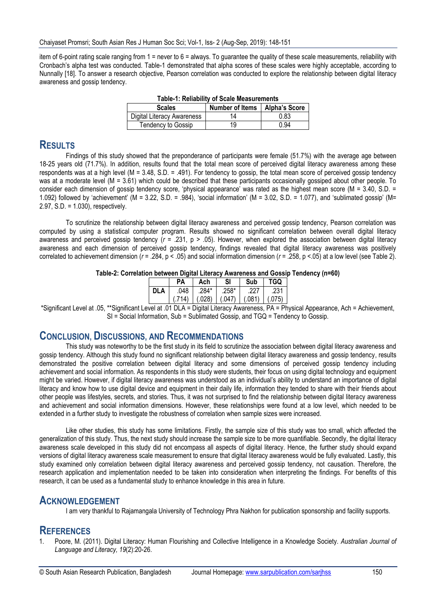item of 6-point rating scale ranging from 1 = never to 6 = always. To guarantee the quality of these scale measurements, reliability with Cronbach"s alpha test was conducted. Table-1 demonstrated that alpha scores of these scales were highly acceptable, according to Nunnally [18]. To answer a research objective, Pearson correlation was conducted to explore the relationship between digital literacy awareness and gossip tendency.

| Table-1: Reliability of Scale Measurements |                                 |      |  |  |  |  |
|--------------------------------------------|---------------------------------|------|--|--|--|--|
| <b>Scales</b>                              | Number of Items   Alpha's Score |      |  |  |  |  |
| Digital Literacy Awareness                 | 14                              | 0.83 |  |  |  |  |
| Tendency to Gossip                         | 19                              | 0.94 |  |  |  |  |

### **Table-1: Reliability of Scale Measurements**

### **RESULTS**

Findings of this study showed that the preponderance of participants were female (51.7%) with the average age between 18-25 years old (71.7%). In addition, results found that the total mean score of perceived digital literacy awareness among these respondents was at a high level (M = 3.48, S.D. = .491). For tendency to gossip, the total mean score of perceived gossip tendency was at a moderate level (M = 3.61) which could be described that these participants occasionally gossiped about other people. To consider each dimension of gossip tendency score, "physical appearance" was rated as the highest mean score (M = 3.40, S.D. = 1.092) followed by 'achievement' (M = 3.22, S.D. = .984), 'social information' (M = 3.02, S.D. = 1.077), and 'sublimated gossip' (M= 2.97, S.D. = 1.030), respectively.

To scrutinize the relationship between digital literacy awareness and perceived gossip tendency, Pearson correlation was computed by using a statistical computer program. Results showed no significant correlation between overall digital literacy awareness and perceived gossip tendency (*r* = .231, p > .05). However, when explored the association between digital literacy awareness and each dimension of perceived gossip tendency, findings revealed that digital literacy awareness was positively correlated to achievement dimension (*r* = .284, p < .05) and social information dimension (*r* = .258, p <.05) at a low level (see Table 2).

## **Table-2: Correlation between Digital Literacy Awareness and Gossip Tendency (n=60)**

|      | PА           | Ach            | SI                | Sub     | TGO            |
|------|--------------|----------------|-------------------|---------|----------------|
| DI A | .048         | .284*          | .258*             | 227     | .231           |
|      | (.714)       |                | $(.028)$ $(.047)$ | (0.081) | (.075)         |
|      | <b>AINIA</b> | <b>A 1 1 1</b> |                   |         | -<br><b>DA</b> |

\*Significant Level at .05, \*\*Significant Level at .01 DLA = Digital Literacy Awareness, PA = Physical Appearance, Ach = Achievement, SI = Social Information, Sub = Sublimated Gossip, and TGQ = Tendency to Gossip.

#### **CONCLUSION, DISCUSSIONS, AND RECOMMENDATIONS**

This study was noteworthy to be the first study in its field to scrutinize the association between digital literacy awareness and gossip tendency. Although this study found no significant relationship between digital literacy awareness and gossip tendency, results demonstrated the positive correlation between digital literacy and some dimensions of perceived gossip tendency including achievement and social information. As respondents in this study were students, their focus on using digital technology and equipment might be varied. However, if digital literacy awareness was understood as an individual"s ability to understand an importance of digital literacy and know how to use digital device and equipment in their daily life, information they tended to share with their friends about other people was lifestyles, secrets, and stories. Thus, it was not surprised to find the relationship between digital literacy awareness and achievement and social information dimensions. However, these relationships were found at a low level, which needed to be extended in a further study to investigate the robustness of correlation when sample sizes were increased.

Like other studies, this study has some limitations. Firstly, the sample size of this study was too small, which affected the generalization of this study. Thus, the next study should increase the sample size to be more quantifiable. Secondly, the digital literacy awareness scale developed in this study did not encompass all aspects of digital literacy. Hence, the further study should expand versions of digital literacy awareness scale measurement to ensure that digital literacy awareness would be fully evaluated. Lastly, this study examined only correlation between digital literacy awareness and perceived gossip tendency, not causation. Therefore, the research application and implementation needed to be taken into consideration when interpreting the findings. For benefits of this research, it can be used as a fundamental study to enhance knowledge in this area in future.

#### **ACKNOWLEDGEMENT**

I am very thankful to Rajamangala University of Technology Phra Nakhon for publication sponsorship and facility supports.

#### **REFERENCES**

1. Poore, M. (2011). Digital Literacy: Human Flourishing and Collective Intelligence in a Knowledge Society. *Australian Journal of Language and Literacy, 19*(2):20-26.